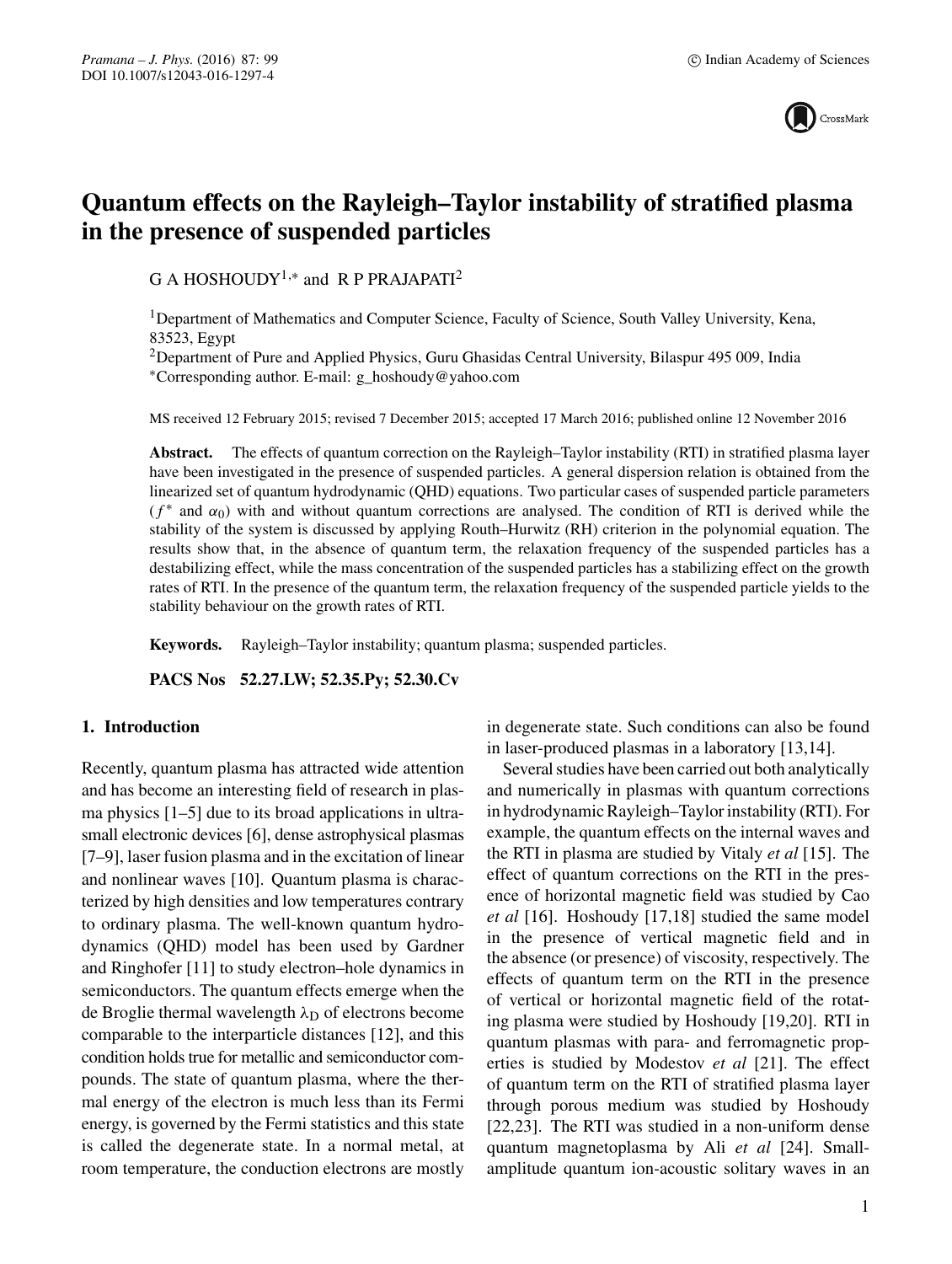

# **Quantum effects on the Rayleigh–Taylor instability of stratified plasma in the presence of suspended particles**

G A HOSHOUDY<sup>1,\*</sup> and R P PRAJAPATI<sup>2</sup>

1Department of Mathematics and Computer Science, Faculty of Science, South Valley University, Kena, 83523, Egypt

2Department of Pure and Applied Physics, Guru Ghasidas Central University, Bilaspur 495 009, India ∗Corresponding author. E-mail: g\_hoshoudy@yahoo.com

MS received 12 February 2015; revised 7 December 2015; accepted 17 March 2016; published online 12 November 2016

**Abstract.** The effects of quantum correction on the Rayleigh–Taylor instability (RTI) in stratified plasma layer have been investigated in the presence of suspended particles. A general dispersion relation is obtained from the linearized set of quantum hydrodynamic (QHD) equations. Two particular cases of suspended particle parameters  $(f^*$  and  $\alpha_0$ ) with and without quantum corrections are analysed. The condition of RTI is derived while the stability of the system is discussed by applying Routh–Hurwitz (RH) criterion in the polynomial equation. The results show that, in the absence of quantum term, the relaxation frequency of the suspended particles has a destabilizing effect, while the mass concentration of the suspended particles has a stabilizing effect on the growth rates of RTI. In the presence of the quantum term, the relaxation frequency of the suspended particle yields to the stability behaviour on the growth rates of RTI.

**Keywords.** Rayleigh–Taylor instability; quantum plasma; suspended particles.

**PACS Nos 52.27.LW; 52.35.Py; 52.30.Cv**

### **1. Introduction**

Recently, quantum plasma has attracted wide attention and has become an interesting field of research in plasma physics [1–5] due to its broad applications in ultrasmall electronic devices [6], dense astrophysical plasmas [7–9], laser fusion plasma and in the excitation of linear and nonlinear waves [10]. Quantum plasma is characterized by high densities and low temperatures contrary to ordinary plasma. The well-known quantum hydrodynamics (QHD) model has been used by Gardner and Ringhofer [11] to study electron–hole dynamics in semiconductors. The quantum effects emerge when the de Broglie thermal wavelength  $\lambda_D$  of electrons become comparable to the interparticle distances [12], and this condition holds true for metallic and semiconductor compounds. The state of quantum plasma, where the thermal energy of the electron is much less than its Fermi energy, is governed by the Fermi statistics and this state is called the degenerate state. In a normal metal, at room temperature, the conduction electrons are mostly in degenerate state. Such conditions can also be found in laser-produced plasmas in a laboratory [13,14].

Several studies have been carried out both analytically and numerically in plasmas with quantum corrections in hydrodynamic Rayleigh–Taylor instability (RTI). For example, the quantum effects on the internal waves and the RTI in plasma are studied by Vitaly *et al* [15]. The effect of quantum corrections on the RTI in the presence of horizontal magnetic field was studied by Cao *et al* [16]. Hoshoudy [17,18] studied the same model in the presence of vertical magnetic field and in the absence (or presence) of viscosity, respectively. The effects of quantum term on the RTI in the presence of vertical or horizontal magnetic field of the rotating plasma were studied by Hoshoudy [19,20]. RTI in quantum plasmas with para- and ferromagnetic properties is studied by Modestov *et al* [21]. The effect of quantum term on the RTI of stratified plasma layer through porous medium was studied by Hoshoudy [22,23]. The RTI was studied in a non-uniform dense quantum magnetoplasma by Ali *et al* [24]. Smallamplitude quantum ion-acoustic solitary waves in an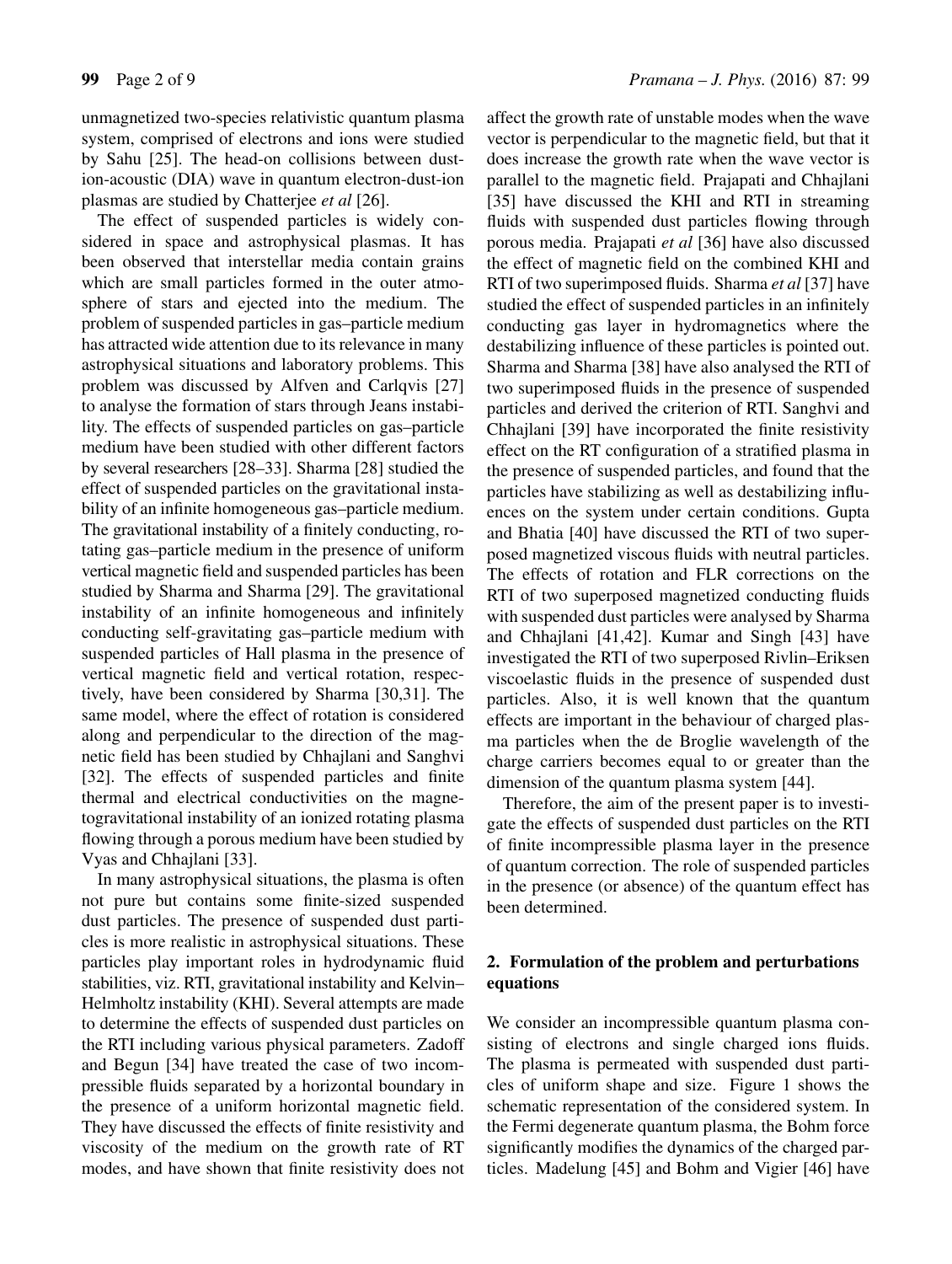unmagnetized two-species relativistic quantum plasma system, comprised of electrons and ions were studied by Sahu [25]. The head-on collisions between dustion-acoustic (DIA) wave in quantum electron-dust-ion plasmas are studied by Chatterjee *et al* [26].

The effect of suspended particles is widely considered in space and astrophysical plasmas. It has been observed that interstellar media contain grains which are small particles formed in the outer atmosphere of stars and ejected into the medium. The problem of suspended particles in gas–particle medium has attracted wide attention due to its relevance in many astrophysical situations and laboratory problems. This problem was discussed by Alfven and Carlqvis [27] to analyse the formation of stars through Jeans instability. The effects of suspended particles on gas–particle medium have been studied with other different factors by several researchers [28–33]. Sharma [28] studied the effect of suspended particles on the gravitational instability of an infinite homogeneous gas–particle medium. The gravitational instability of a finitely conducting, rotating gas–particle medium in the presence of uniform vertical magnetic field and suspended particles has been studied by Sharma and Sharma [29]. The gravitational instability of an infinite homogeneous and infinitely conducting self-gravitating gas–particle medium with suspended particles of Hall plasma in the presence of vertical magnetic field and vertical rotation, respectively, have been considered by Sharma [30,31]. The same model, where the effect of rotation is considered along and perpendicular to the direction of the magnetic field has been studied by Chhajlani and Sanghvi [32]. The effects of suspended particles and finite thermal and electrical conductivities on the magnetogravitational instability of an ionized rotating plasma flowing through a porous medium have been studied by Vyas and Chhajlani [33].

In many astrophysical situations, the plasma is often not pure but contains some finite-sized suspended dust particles. The presence of suspended dust particles is more realistic in astrophysical situations. These particles play important roles in hydrodynamic fluid stabilities, viz. RTI, gravitational instability and Kelvin– Helmholtz instability (KHI). Several attempts are made to determine the effects of suspended dust particles on the RTI including various physical parameters. Zadoff and Begun [34] have treated the case of two incompressible fluids separated by a horizontal boundary in the presence of a uniform horizontal magnetic field. They have discussed the effects of finite resistivity and viscosity of the medium on the growth rate of RT modes, and have shown that finite resistivity does not affect the growth rate of unstable modes when the wave vector is perpendicular to the magnetic field, but that it does increase the growth rate when the wave vector is parallel to the magnetic field. Prajapati and Chhajlani [35] have discussed the KHI and RTI in streaming fluids with suspended dust particles flowing through porous media. Prajapati *et al* [36] have also discussed the effect of magnetic field on the combined KHI and RTI of two superimposed fluids. Sharma *et al* [37] have studied the effect of suspended particles in an infinitely conducting gas layer in hydromagnetics where the destabilizing influence of these particles is pointed out. Sharma and Sharma [38] have also analysed the RTI of two superimposed fluids in the presence of suspended particles and derived the criterion of RTI. Sanghvi and Chhajlani [39] have incorporated the finite resistivity effect on the RT configuration of a stratified plasma in the presence of suspended particles, and found that the particles have stabilizing as well as destabilizing influences on the system under certain conditions. Gupta and Bhatia [40] have discussed the RTI of two superposed magnetized viscous fluids with neutral particles. The effects of rotation and FLR corrections on the RTI of two superposed magnetized conducting fluids with suspended dust particles were analysed by Sharma and Chhajlani [41,42]. Kumar and Singh [43] have investigated the RTI of two superposed Rivlin–Eriksen viscoelastic fluids in the presence of suspended dust particles. Also, it is well known that the quantum effects are important in the behaviour of charged plasma particles when the de Broglie wavelength of the charge carriers becomes equal to or greater than the dimension of the quantum plasma system [44].

Therefore, the aim of the present paper is to investigate the effects of suspended dust particles on the RTI of finite incompressible plasma layer in the presence of quantum correction. The role of suspended particles in the presence (or absence) of the quantum effect has been determined.

## **2. Formulation of the problem and perturbations equations**

We consider an incompressible quantum plasma consisting of electrons and single charged ions fluids. The plasma is permeated with suspended dust particles of uniform shape and size. Figure 1 shows the schematic representation of the considered system. In the Fermi degenerate quantum plasma, the Bohm force significantly modifies the dynamics of the charged particles. Madelung [45] and Bohm and Vigier [46] have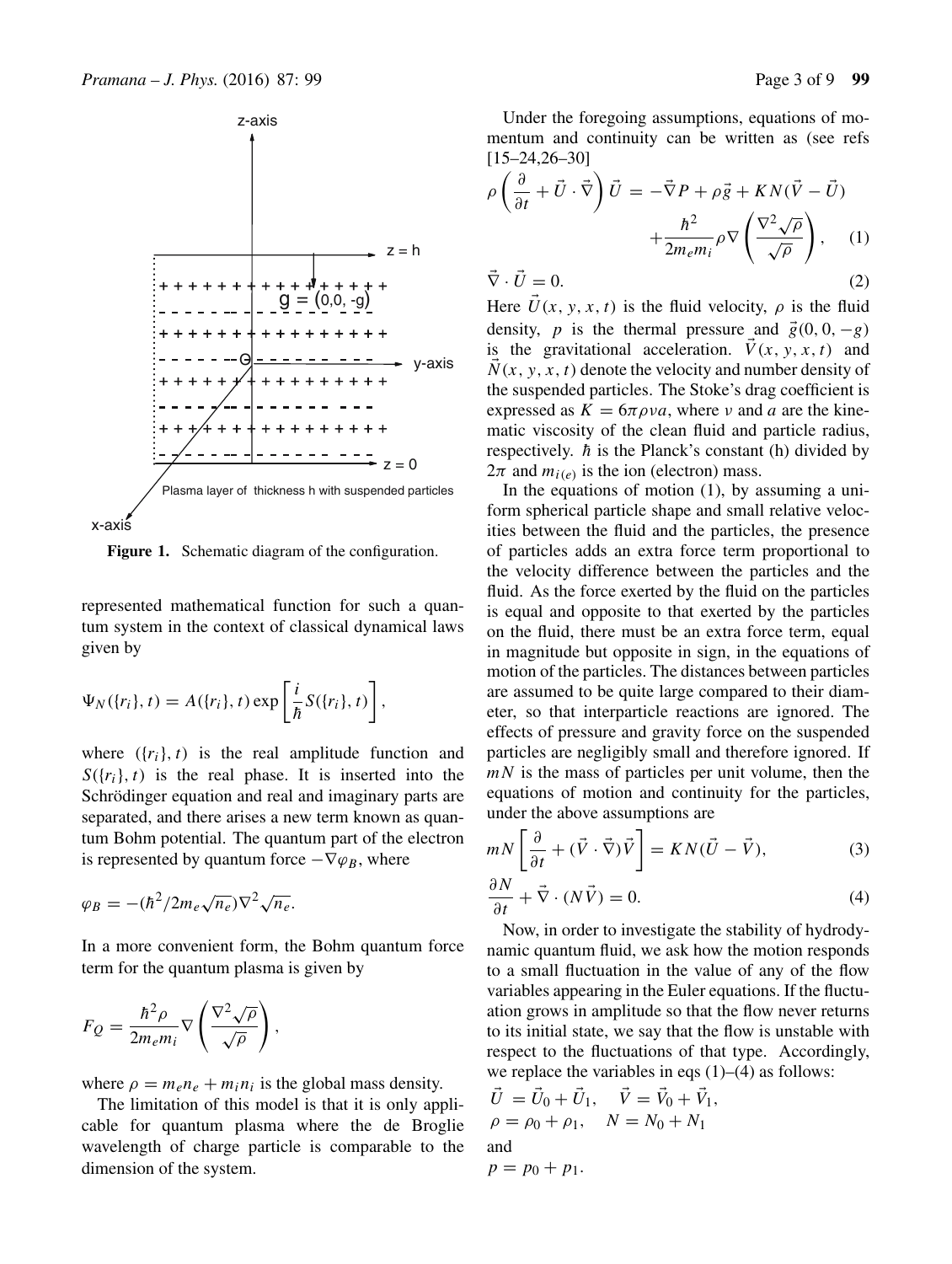

Figure 1. Schematic diagram of the configuration.

represented mathematical function for such a quantum system in the context of classical dynamical laws given by

$$
\Psi_N(\lbrace r_i \rbrace, t) = A(\lbrace r_i \rbrace, t) \exp\left[\frac{i}{\hbar}S(\lbrace r_i \rbrace, t)\right],
$$

where  $({r_i}, t)$  is the real amplitude function and  $S({r_i}, t)$  is the real phase. It is inserted into the Schrödinger equation and real and imaginary parts are separated, and there arises a new term known as quantum Bohm potential. The quantum part of the electron is represented by quantum force  $-\nabla \varphi_B$ , where

$$
\varphi_B = -(\hbar^2/2m_e\sqrt{n_e})\nabla^2\sqrt{n_e}.
$$

In a more convenient form, the Bohm quantum force term for the quantum plasma is given by

$$
F_Q = \frac{\hbar^2 \rho}{2m_e m_i} \nabla \left( \frac{\nabla^2 \sqrt{\rho}}{\sqrt{\rho}} \right),\,
$$

where  $\rho = m_e n_e + m_i n_i$  is the global mass density.

The limitation of this model is that it is only applicable for quantum plasma where the de Broglie wavelength of charge particle is comparable to the dimension of the system.

Under the foregoing assumptions, equations of momentum and continuity can be written as (see refs [15–24,26–30]

$$
\rho \left( \frac{\partial}{\partial t} + \vec{U} \cdot \vec{\nabla} \right) \vec{U} = -\vec{\nabla} P + \rho \vec{g} + KN(\vec{V} - \vec{U})
$$

$$
+ \frac{\hbar^2}{2m_e m_i} \rho \nabla \left( \frac{\nabla^2 \sqrt{\rho}}{\sqrt{\rho}} \right), \quad (1)
$$

$$
\vec{\nabla} \cdot \vec{U} = 0. \tag{2}
$$

Here  $U(x, y, x, t)$  is the fluid velocity,  $\rho$  is the fluid density, n is the thermal pressure and  $\vec{\sigma}(0, 0, \alpha)$ density, p is the thermal pressure and  $\vec{g}(0, 0, -g)$ is the gravitational acceleration.  $\vec{V}(x, y, x, t)$  and  $N(x, y, x, t)$  denote the velocity and number density of the suspended particles. The Stoke's drag coefficient is expressed as  $K = 6\pi \rho v a$ , where v and a are the kinematic viscosity of the clean fluid and particle radius, respectively.  $\hbar$  is the Planck's constant (h) divided by  $2\pi$  and  $m_{i(e)}$  is the ion (electron) mass.

In the equations of motion (1), by assuming a uniform spherical particle shape and small relative velocities between the fluid and the particles, the presence of particles adds an extra force term proportional to the velocity difference between the particles and the fluid. As the force exerted by the fluid on the particles is equal and opposite to that exerted by the particles on the fluid, there must be an extra force term, equal in magnitude but opposite in sign, in the equations of motion of the particles. The distances between particles are assumed to be quite large compared to their diameter, so that interparticle reactions are ignored. The effects of pressure and gravity force on the suspended particles are negligibly small and therefore ignored. If  $mN$  is the mass of particles per unit volume, then the equations of motion and continuity for the particles, under the above assumptions are

$$
mN\left[\frac{\partial}{\partial t} + (\vec{V} \cdot \vec{\nabla})\vec{V}\right] = KN(\vec{U} - \vec{V}),\tag{3}
$$

$$
\frac{\partial N}{\partial t} + \vec{\nabla} \cdot (N\vec{V}) = 0.
$$
\n(4)  
\nNow, in order to investigate the stability of hydrody-

namic quantum fluid, we ask how the motion responds to a small fluctuation in the value of any of the flow variables appearing in the Euler equations. If the fluctuation grows in amplitude so that the flow never returns to its initial state, we say that the flow is unstable with respect to the fluctuations of that type. Accordingly, we replace the variables in eqs  $(1)$ – $(4)$  as follows:

$$
\vec{U} = \vec{U}_0 + \vec{U}_1, \quad \vec{V} = \vec{V}_0 + \vec{V}_1, \n\rho = \rho_0 + \rho_1, \quad N = N_0 + N_1\nand
$$

$$
p=p_0+p_1.
$$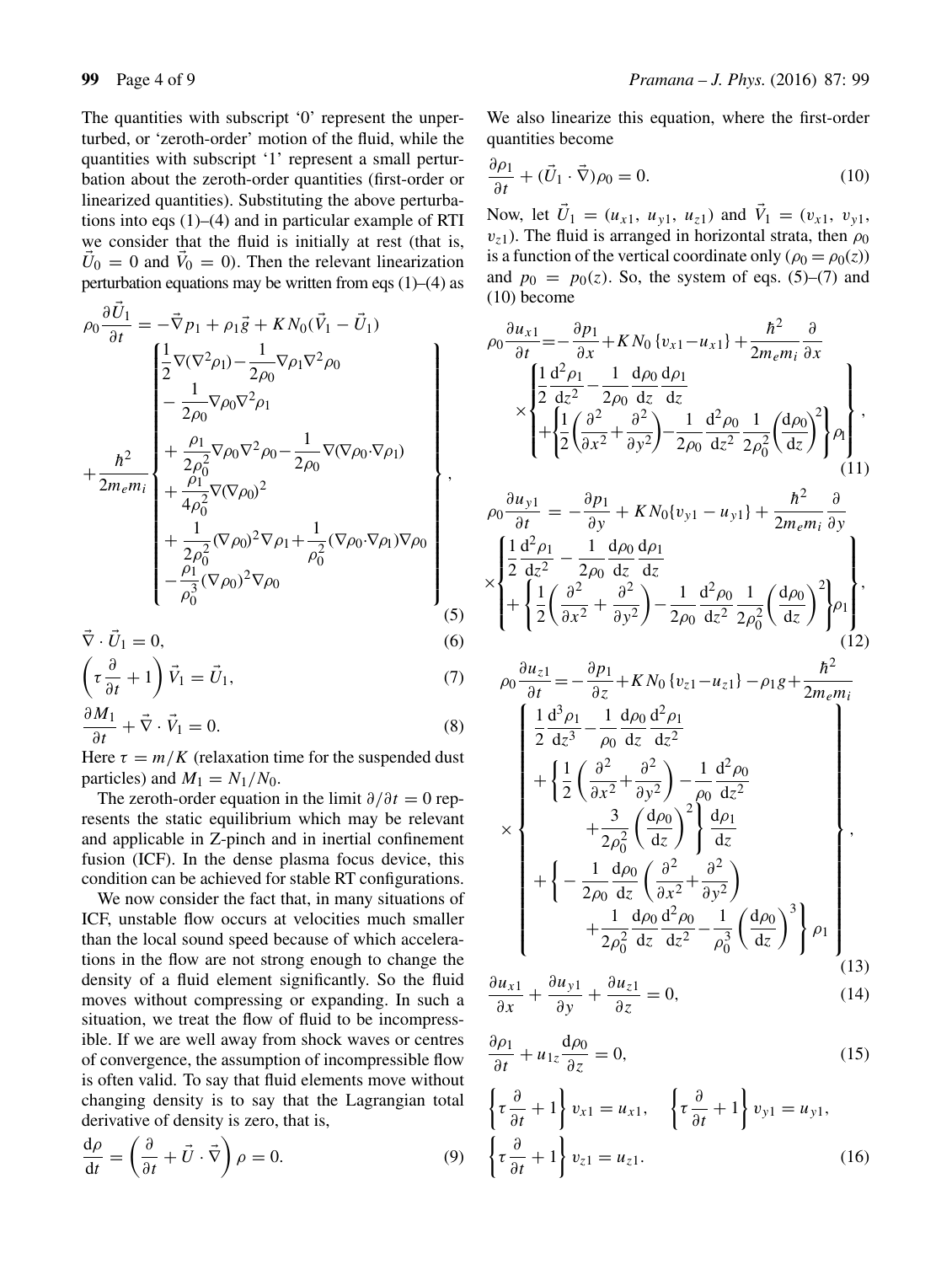The quantities with subscript '0' represent the unperturbed, or 'zeroth-order' motion of the fluid, while the quantities with subscript '1' represent a small perturbation about the zeroth-order quantities (first-order or linearized quantities). Substituting the above perturbations into eqs  $(1)$ – $(4)$  and in particular example of RTI we consider that the fluid is initially at rest (that is,  $U_0 = 0$  and  $V_0 = 0$ ). Then the relevant linearization perturbation equations may be written from eqs  $(1)$ – $(4)$  as

$$
\rho_0 \frac{\partial U_1}{\partial t} = -\vec{\nabla} p_1 + \rho_1 \vec{g} + KN_0 (\vec{V}_1 - \vec{U}_1)
$$
\n
$$
\begin{bmatrix}\n\frac{1}{2} \nabla (\nabla^2 \rho_1) - \frac{1}{2\rho_0} \nabla \rho_1 \nabla^2 \rho_0 \\
-\frac{1}{2\rho_0} \nabla \rho_0 \nabla^2 \rho_1\n\end{bmatrix}
$$
\n
$$
+ \frac{\hbar^2}{2m_e m_i} \begin{bmatrix}\n\frac{\rho_1}{2\rho_0^2} \nabla \rho_0 \nabla^2 \rho_0 - \frac{1}{2\rho_0} \nabla (\nabla \rho_0 \cdot \nabla \rho_1) \\
+\frac{\rho_1}{2\rho_0^2} \nabla (\nabla \rho_0)^2 \\
+\frac{1}{2\rho_0^2} (\nabla \rho_0)^2 \nabla \rho_1 + \frac{1}{\rho_0^2} (\nabla \rho_0 \cdot \nabla \rho_1) \nabla \rho_0 \\
-\frac{\rho_1}{\rho_0^3} (\nabla \rho_0)^2 \nabla \rho_0\n\end{bmatrix},
$$
\n(5)

$$
\vec{\nabla} \cdot \vec{U}_1 = 0,\tag{6}
$$

$$
\left(\tau \frac{\partial}{\partial t} + 1\right) \vec{V}_1 = \vec{U}_1,
$$
\n
$$
\frac{\partial M_1}{\partial t_1} \tag{7}
$$

$$
\frac{\partial M_1}{\partial t} + \vec{\nabla} \cdot \vec{V}_1 = 0.
$$
 (8)  
Here  $\tau = m/K$  (relaxation time for the suspended dust

Here  $\tau = m/K$  (relaxation time for the suspended dust<br>particles) and  $M_1 = N_1/N_0$ particles) and  $M_1 = N_1/N_0$ .

The zeroth-order equation in the limit  $\partial/\partial t = 0$  represents the static equilibrium which may be relevant and applicable in Z-pinch and in inertial confinement fusion (ICF). In the dense plasma focus device, this condition can be achieved for stable RT configurations.

We now consider the fact that, in many situations of ICF, unstable flow occurs at velocities much smaller than the local sound speed because of which accelerations in the flow are not strong enough to change the density of a fluid element significantly. So the fluid moves without compressing or expanding. In such a situation, we treat the flow of fluid to be incompressible. If we are well away from shock waves or centres of convergence, the assumption of incompressible flow is often valid. To say that fluid elements move without changing density is to say that the Lagrangian total derivative of density is zero, that is,

$$
\frac{d\rho}{dt} = \left(\frac{\partial}{\partial t} + \vec{U} \cdot \vec{\nabla}\right) \rho = 0.
$$
\n(9)

We also linearize this equation, where the first-order quantities become

$$
\frac{\partial \rho_1}{\partial t} + (\vec{U}_1 \cdot \vec{\nabla}) \rho_0 = 0.
$$
 (10)

Now, let  $U_1 = (u_{x1}, u_{y1}, u_{z1})$  and  $V_1 = (v_{x1}, v_{y1}, v_{y1})$ <br>
The fluid is arranged in horizontal strata, then  $\omega_0$  $v_{71}$ ). The fluid is arranged in horizontal strata, then  $\rho_0$ is a function of the vertical coordinate only ( $\rho_0 = \rho_0(z)$ ) and  $p_0 = p_0(z)$ . So, the system of eqs. (5)–(7) and (10) become

$$
\rho_0 \frac{\partial u_{x1}}{\partial t} = -\frac{\partial p_1}{\partial x} + KN_0 \{v_{x1} - u_{x1}\} + \frac{\hbar^2}{2m_e m_i} \frac{\partial}{\partial x}
$$
\n
$$
\times \begin{cases}\n\frac{1}{2} \frac{d^2 \rho_1}{dz^2} - \frac{1}{2\rho_0} \frac{d \rho_0}{dz} \frac{d \rho_1}{dz} \\
+ \frac{1}{2} \left( \frac{\partial^2}{\partial x^2} + \frac{\partial^2}{\partial y^2} \right) - \frac{1}{2\rho_0} \frac{d^2 \rho_0}{dz^2} \frac{1}{2\rho_0^2} \left( \frac{d \rho_0}{dz} \right)^2 \rho_1\n\end{cases},
$$
\n
$$
\rho_0 \frac{\partial u_{y1}}{\partial t} = -\frac{\partial p_1}{\partial y} + KN_0 \{v_{y1} - u_{y1}\} + \frac{\hbar^2}{2m_e m_i} \frac{\partial}{\partial y}\n\times\n\begin{cases}\n\frac{1}{2} \frac{d^2 \rho_1}{dz^2} - \frac{1}{2\rho_0} \frac{d \rho_0}{dz} \frac{d \rho_1}{dz} \\
+ \frac{1}{2} \left( \frac{\partial^2}{\partial x^2} + \frac{\partial^2}{\partial y^2} \right) - \frac{1}{2\rho_0} \frac{d^2 \rho_0}{dz^2} \frac{1}{2\rho_0^2} \left( \frac{d \rho_0}{dz} \right)^2 \rho_1\n\end{cases},
$$
\n
$$
\frac{\partial u_{z1}}{\partial x^2} = \frac{\partial p_1}{\partial y^2} + \frac{1}{2\rho_0^2} \frac{d^2 \rho_0}{dz^2} \frac{1}{2\rho_0^2} \left( \frac{d \rho_0}{dz} \right)^2 \rho_1\n\end{cases},
$$
\n(12)

$$
\rho_0 \frac{du_{z1}}{\partial t} = -\frac{\partial p_1}{\partial z} + KN_0 \{v_{z1} - u_{z1}\} - \rho_1 g + \frac{h^2}{2m_e m_i}
$$
\n
$$
\begin{bmatrix}\n\frac{1}{2} \frac{d^3 \rho_1}{dz^3} - \frac{1}{\rho_0} \frac{d \rho_0}{dz} \frac{d^2 \rho_1}{dz^2} \\
+ \left\{\frac{1}{2} \left(\frac{\partial^2}{\partial x^2} + \frac{\partial^2}{\partial y^2}\right) - \frac{1}{\rho_0} \frac{d^2 \rho_0}{dz^2} \\
+ \frac{3}{2\rho_0^2} \left(\frac{d \rho_0}{dz}\right)^2 \right\} \frac{d \rho_1}{dz} \\
+ \left\{-\frac{1}{2\rho_0} \frac{d \rho_0}{dz} \left(\frac{\partial^2}{\partial x^2} + \frac{\partial^2}{\partial y^2}\right) \\
+ \frac{1}{2\rho_0^2} \frac{d \rho_0}{dz} \frac{d^2 \rho_0}{dz^2} - \frac{1}{\rho_0^3} \left(\frac{d \rho_0}{dz}\right)^3 \right\} \rho_1 \\
+ \frac{1}{2\rho_0^2} \frac{d \rho_0}{dz} \frac{d^2 \rho_0}{dz^2} - \frac{1}{\rho_0^3} \left(\frac{d \rho_0}{dz}\right)^3 \rho_1\n\end{bmatrix} (13)
$$

$$
\frac{\partial u_{x1}}{\partial x} + \frac{\partial u_{y1}}{\partial y} + \frac{\partial u_{z1}}{\partial z} = 0, \tag{14}
$$

$$
\frac{\partial \rho_1}{\partial t} + u_{1z} \frac{d\rho_0}{\partial z} = 0, \tag{15}
$$

$$
\left\{\tau \frac{\partial}{\partial t} + 1\right\} v_{x1} = u_{x1}, \quad \left\{\tau \frac{\partial}{\partial t} + 1\right\} v_{y1} = u_{y1},
$$

$$
\left\{\tau \frac{\partial}{\partial t} + 1\right\} v_{z1} = u_{z1}.
$$
 (16)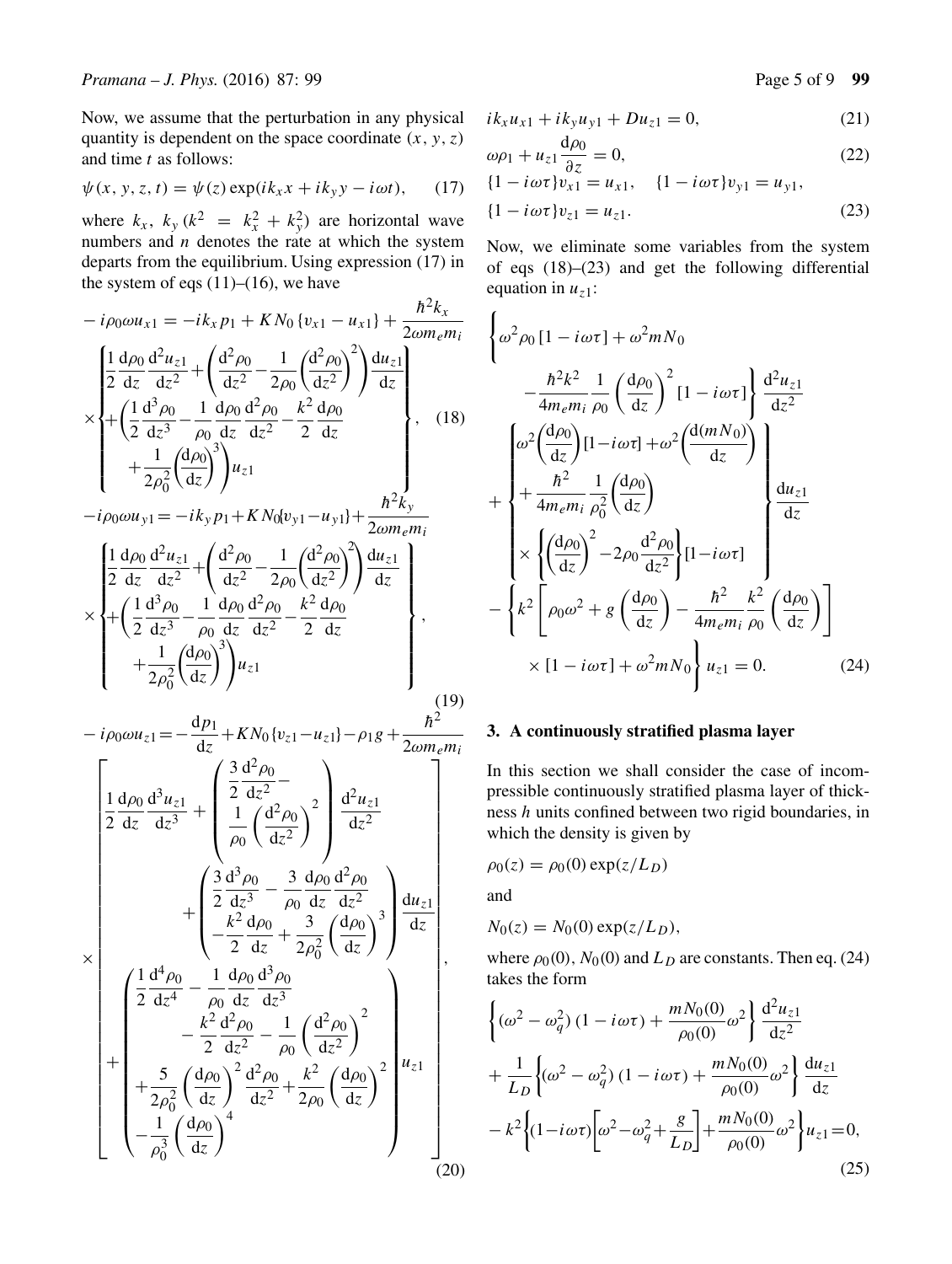$$
\psi(x, y, z, t) = \psi(z) \exp(ik_x x + ik_y y - i\omega t), \quad (17)
$$

where  $k_x$ ,  $k_y$  ( $k^2 = k_x^2 + k_y^2$ ) are horizontal wave<br>numbers and *n* denotes the rate at which the system numbers and  $n$  denotes the rate at which the system departs from the equilibrium. Using expression (17) in the system of eqs  $(11)$ – $(16)$ , we have  $22.2$ 

$$
-i\rho_0 \omega u_{x1} = -ik_x p_1 + KN_0 \{v_{x1} - u_{x1}\} + \frac{\hbar^2 k_x}{2 \omega m_e m_i}
$$
  
\n
$$
\times \begin{cases}\n\frac{1}{2} \frac{d\rho_0}{dz} \frac{d^2 u_{z1}}{dz^2} + \left(\frac{d^2 \rho_0}{dz^2} - \frac{1}{2\rho_0} \left(\frac{d^2 \rho_0}{dz^2}\right)^2\right) \frac{du_{z1}}{dz} \\
+ \left(\frac{1}{2} \frac{d^3 \rho_0}{dz^3} - \frac{1}{\rho_0} \frac{d\rho_0}{dz} \frac{d^2 \rho_0}{dz^2} - \frac{k^2}{2} \frac{d\rho_0}{dz} \\
+ \frac{1}{2\rho_0^2} \left(\frac{d\rho_0}{dz}\right)^3\right) u_{z1} \\
-i\rho_0 \omega u_{y1} = -ik_y p_1 + KN_0 \{v_{y1} - u_{y1}\} + \frac{\hbar^2 k_y}{2 \omega m_e m_i} \\
\frac{1}{2} \frac{d\rho_0}{dz} \frac{d^2 u_{z1}}{dz^2} + \left(\frac{d^2 \rho_0}{dz^2} - \frac{1}{2\rho_0} \left(\frac{d^2 \rho_0}{dz^2}\right)^2\right) \frac{du_{z1}}{dz} \\
+ \left(\frac{1}{2} \frac{d^3 \rho_0}{dz^3} - \frac{1}{\rho_0} \frac{d\rho_0}{dz} \frac{d^2 \rho_0}{dz^2} - \frac{k^2}{2} \frac{d\rho_0}{dz} \\
+ \frac{1}{2\rho_0^2} \left(\frac{d\rho_0}{dz}\right)^3\right) u_{z1} \n\end{cases}, \quad (19)
$$

$$
-i\rho_0 \omega u_{z1} = -\frac{dp_1}{dz} + KN_0 \{v_{z1} - u_{z1}\} - \rho_1 g + \frac{\hbar^2}{2\omega m_e m_i}
$$
\n
$$
\left[ \frac{1}{2} \frac{d\rho_0}{dz} \frac{d^3 u_{z1}}{dz^3} + \left( \frac{\frac{3}{2} \frac{d^2 \rho_0}{dz^2} -}{\frac{1}{\rho_0} \left( \frac{d^2 \rho_0}{dz^2} \right)^2} \right) \frac{d^2 u_{z1}}{dz^2} + \left( \frac{\frac{3}{2} \frac{d^3 \rho_0}{dz^3} - \frac{3}{\rho_0} \frac{d\rho_0}{dz} \frac{d^2 \rho_0}{dz^2}}{-\frac{k^2}{2} \frac{d\rho_0}{dz} + \frac{3}{2\rho_0^2} \left( \frac{d\rho_0}{dz} \right)^3} \right) \frac{du_{z1}}{dz} \right]
$$
\n
$$
\times \left[ \frac{1}{2} \frac{d^4 \rho_0}{dz^4} - \frac{1}{\rho_0} \frac{d\rho_0}{dz} \frac{d^3 \rho_0}{dz^3} - \frac{k^2}{2} \frac{d^2 \rho_0}{dz^2} - \frac{1}{\rho_0} \left( \frac{d^2 \rho_0}{dz^2} \right)^2 + \frac{5}{2\rho_0^2} \left( \frac{d\rho_0}{dz} \right)^2 \frac{d^2 \rho_0}{dz^2} + \frac{k^2}{2\rho_0} \left( \frac{d\rho_0}{dz} \right)^2 \right] u_{z1} \right]
$$
\n
$$
- \frac{1}{\rho_0^3} \left( \frac{d\rho_0}{dz} \right)^4 \right] (20)
$$

$$
ik_x u_{x1} + ik_y u_{y1} + Du_{z1} = 0, \t(21)
$$

$$
\omega \rho_1 + u_{z1} \frac{d\rho_0}{\partial z} = 0, \qquad (22)
$$
  

$$
\{1 - i\omega \tau\} v_{x1} = u_{x1}, \quad \{1 - i\omega \tau\} v_{y1} = u_{y1},
$$

$$
\{1 - i\omega\tau\}v_{x1} = u_{x1}, \quad \{1 - i\omega\tau\}v_{y1} = u_{y1},
$$
  

$$
\{1 - i\omega\tau\}v_{z1} = u_{z1}.
$$
 (23)

Now, we eliminate some variables from the system of eqs (18)–(23) and get the following differential equation in  $u_{\tau 1}$ :

$$
\begin{cases}\n\omega^2 \rho_0 \left[1 - i\omega \tau\right] + \omega^2 m N_0 \\
-\frac{\hbar^2 k^2}{4 m_e m_i} \frac{1}{\rho_0} \left(\frac{d\rho_0}{dz}\right)^2 \left[1 - i\omega \tau\right] \frac{d^2 u_{z1}}{dz^2} \\
+ \frac{\omega^2 \left(\frac{d\rho_0}{dz}\right) \left[1 - i\omega \tau\right] + \omega^2 \left(\frac{d(mN_0)}{dz}\right)}{4 m_e m_i \rho_0^2} \\
\times \frac{\hbar^2}{4 m_e m_i} \frac{1}{\rho_0^2} \left(\frac{d\rho_0}{dz}\right) \\
\times \left\{\left(\frac{d\rho_0}{dz}\right)^2 - 2\rho_0 \frac{d^2 \rho_0}{dz^2}\right\} \left[1 - i\omega \tau\right] \\
- \left\{k^2 \left[\rho_0 \omega^2 + g\left(\frac{d\rho_0}{dz}\right) - \frac{\hbar^2}{4 m_e m_i} \frac{k^2}{\rho_0} \left(\frac{d\rho_0}{dz}\right)\right] \\
\times \left[1 - i\omega \tau\right] + \omega^2 m N_0 \right\} u_{z1} = 0.\n\end{cases} \tag{24}
$$

## **3. A continuously stratified plasma layer**

In this section we shall consider the case of incompressible continuously stratified plasma layer of thickness h units confined between two rigid boundaries, in which the density is given by

$$
\rho_0(z) = \rho_0(0) \exp(z/L_D)
$$

and

$$
N_0(z) = N_0(0) \exp(z/L_D),
$$

where  $\rho_0(0)$ ,  $N_0(0)$  and  $L_D$  are constants. Then eq. (24) takes the form

$$
\begin{aligned}\n&\left\{ (\omega^2 - \omega_q^2) (1 - i\omega\tau) + \frac{mN_0(0)}{\rho_0(0)} \omega^2 \right\} \frac{d^2 u_{z1}}{dz^2} \\
&+ \frac{1}{L_D} \left\{ (\omega^2 - \omega_q^2) (1 - i\omega\tau) + \frac{mN_0(0)}{\rho_0(0)} \omega^2 \right\} \frac{du_{z1}}{dz} \\
&- k^2 \left\{ (1 - i\omega\tau) \left[ \omega^2 - \omega_q^2 + \frac{g}{L_D} \right] + \frac{mN_0(0)}{\rho_0(0)} \omega^2 \right\} u_{z1} = 0,\n\end{aligned} \tag{25}
$$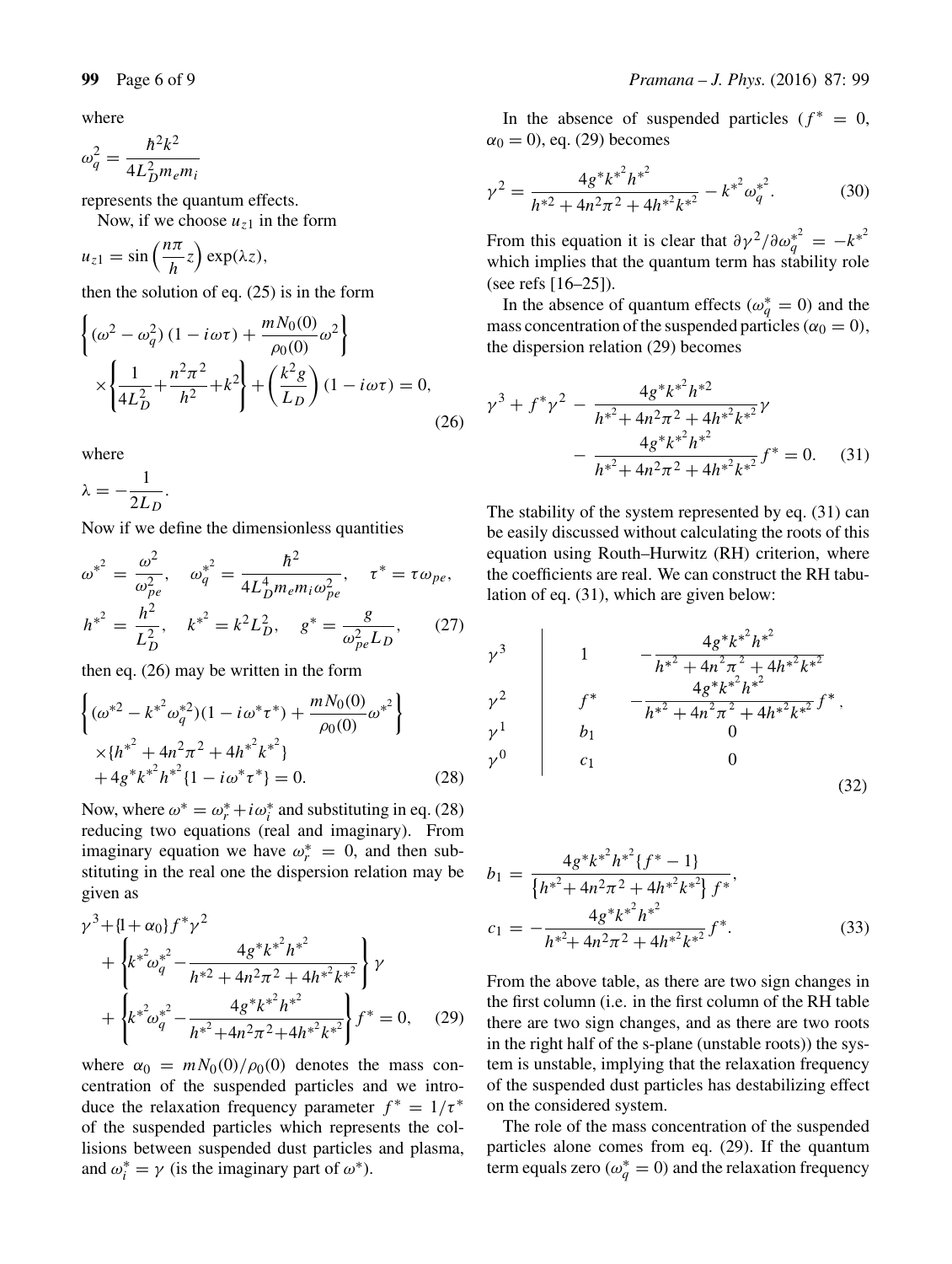where

 $\omega_q^2 = \frac{\hbar^2 k^2}{4 L_D^2 m_e}$  $4L_L^2$  $\sum_{n=1}^{\infty}$ 

represents the quantum effects.

Now, if we choose  $u_{z1}$  in the form

$$
u_{z1} = \sin\left(\frac{n\pi}{h}z\right) \exp(\lambda z),
$$

then the solution of eq. (25) is in the form

$$
\begin{cases}\n(\omega^2 - \omega_q^2) (1 - i\omega\tau) + \frac{mN_0(0)}{\rho_0(0)} \omega^2 \\
\times \left\{ \frac{1}{4L_D^2} + \frac{n^2\pi^2}{h^2} + k^2 \right\} + \left( \frac{k^2g}{L_D} \right) (1 - i\omega\tau) = 0,\n\end{cases}
$$
\n(26)

where

 $\lambda = -\frac{1}{2L_D}.$ 

Now if we define the dimensionless quantities

$$
\omega^{*^2} = \frac{\omega^2}{\omega_{pe}^2}, \quad \omega_q^{*^2} = \frac{\hbar^2}{4L_D^4 m_e m_i \omega_{pe}^2}, \quad \tau^* = \tau \omega_{pe},
$$

$$
h^{*^2} = \frac{h^2}{L_D^2}, \quad k^{*^2} = k^2 L_D^2, \quad g^* = \frac{g}{\omega_{pe}^2 L_D}, \quad (27)
$$

then eq.  $(26)$  may be written in the form

$$
\begin{cases}\n(\omega^{*2} - k^{*2}\omega_q^{*2})(1 - i\omega^* \tau^*) + \frac{mN_0(0)}{\rho_0(0)}\omega^{*2} \\
\times \{h^{*2} + 4n^2\pi^2 + 4h^{*2}k^{*2}\} \\
+ 4g^*k^{*2}h^{*2}\{1 - i\omega^* \tau^*\} = 0.\n\end{cases}
$$
\n(28)

Now, where  $\omega^* = \omega_r^* + i\omega_i^*$  and substituting in eq. (28) reducing two equations (real and imaginary) From reducing two equations (real and imaginary). From imaginary equation we have  $\omega_r^* = 0$ , and then substituting in the real one the dispersion relation may be stituting in the real one the dispersion relation may be given as

$$
\gamma^{3} + \{1 + \alpha_{0}\} f^{*} \gamma^{2} + \left\{ k^{*} \omega_{q}^{*^{2}} - \frac{4g^{*} k^{*^{2}} h^{*^{2}}}{h^{*2} + 4n^{2} \pi^{2} + 4h^{*^{2}} k^{*^{2}}} \right\} \gamma + \left\{ k^{*} \omega_{q}^{*^{2}} - \frac{4g^{*} k^{*^{2}} h^{*^{2}}}{h^{*^{2}} + 4n^{2} \pi^{2} + 4h^{*^{2}} k^{*^{2}}} \right\} f^{*} = 0, \quad (29)
$$

where  $\alpha_0 = mN_0(0)/\rho_0(0)$  denotes the mass concentration of the suspended particles and we introduce the relaxation frequency parameter  $f^* = 1/\tau^*$ of the suspended particles which represents the collisions between suspended dust particles and plasma, and  $\omega_i^* = \gamma$  (is the imaginary part of  $\omega^*$ ).

In the absence of suspended particles ( $f^* = 0$ ,  $\alpha_0 = 0$ , eq. (29) becomes

$$
\gamma^2 = \frac{4g^*k^{*^2}h^{*^2}}{h^{*^2} + 4n^2\pi^2 + 4h^{*^2}k^{*^2}} - k^{*^2}\omega_q^{*^2}.
$$
 (30)

From this equation it is clear that  $\partial y^2/\partial \omega_q^{*^2} = -k^{*2}$ <br>which implies that the quantum term has stability role which implies that the quantum term has stability role (see refs [16–25]).

In the absence of quantum effects  $(\omega_q^* = 0)$  and the suspended particles  $(\alpha_0 = 0)$ mass concentration of the suspended particles ( $\alpha_0 = 0$ ), the dispersion relation (29) becomes

$$
\gamma^{3} + f^{*} \gamma^{2} - \frac{4g^{*} k^{*^{2}} h^{*^{2}}}{h^{*^{2}} + 4n^{2} \pi^{2} + 4h^{*^{2}} k^{*^{2}}} \gamma
$$

$$
- \frac{4g^{*} k^{*^{2}} h^{*^{2}}}{h^{*^{2}} + 4n^{2} \pi^{2} + 4h^{*^{2}} k^{*^{2}}} f^{*} = 0. \quad (31)
$$

The stability of the system represented by eq. (31) can be easily discussed without calculating the roots of this equation using Routh–Hurwitz (RH) criterion, where the coefficients are real. We can construct the RH tabulation of eq. (31), which are given below:

$$
\begin{array}{c|c}\n\gamma^3 & 1 & -\frac{4g^*k^{*^2}h^{*^2}}{h^{*^2} + 4h^{*^2}k^{*^2}} \\
\gamma^2 & f^* & -\frac{4g^*k^{*^2}h^{*^2}}{h^{*^2} + 4h^{*^2}k^{*^2}}f^* \\
\gamma^1 & b_1 & 0 \\
\gamma^0 & c_1 & 0\n\end{array}\n\tag{32}
$$

$$
b_1 = \frac{4g^*k^{*^2}h^{*^2}\{f^*-1\}}{\left\{h^{*^2}+4n^2\pi^2+4h^{*^2}k^{*^2}\right\}f^*},
$$
  
\n
$$
c_1 = -\frac{4g^*k^{*^2}h^{*^2}}{h^{*^2}+4n^2\pi^2+4h^{*^2}k^{*^2}}f^*.
$$
\n(33)

From the above table, as there are two sign changes in the first column (i.e. in the first column of the RH table there are two sign changes, and as there are two roots in the right half of the s-plane (unstable roots)) the system is unstable, implying that the relaxation frequency of the suspended dust particles has destabilizing effect on the considered system.

The role of the mass concentration of the suspended particles alone comes from eq. (29). If the quantum term equals zero ( $\omega_q^* = 0$ ) and the relaxation frequency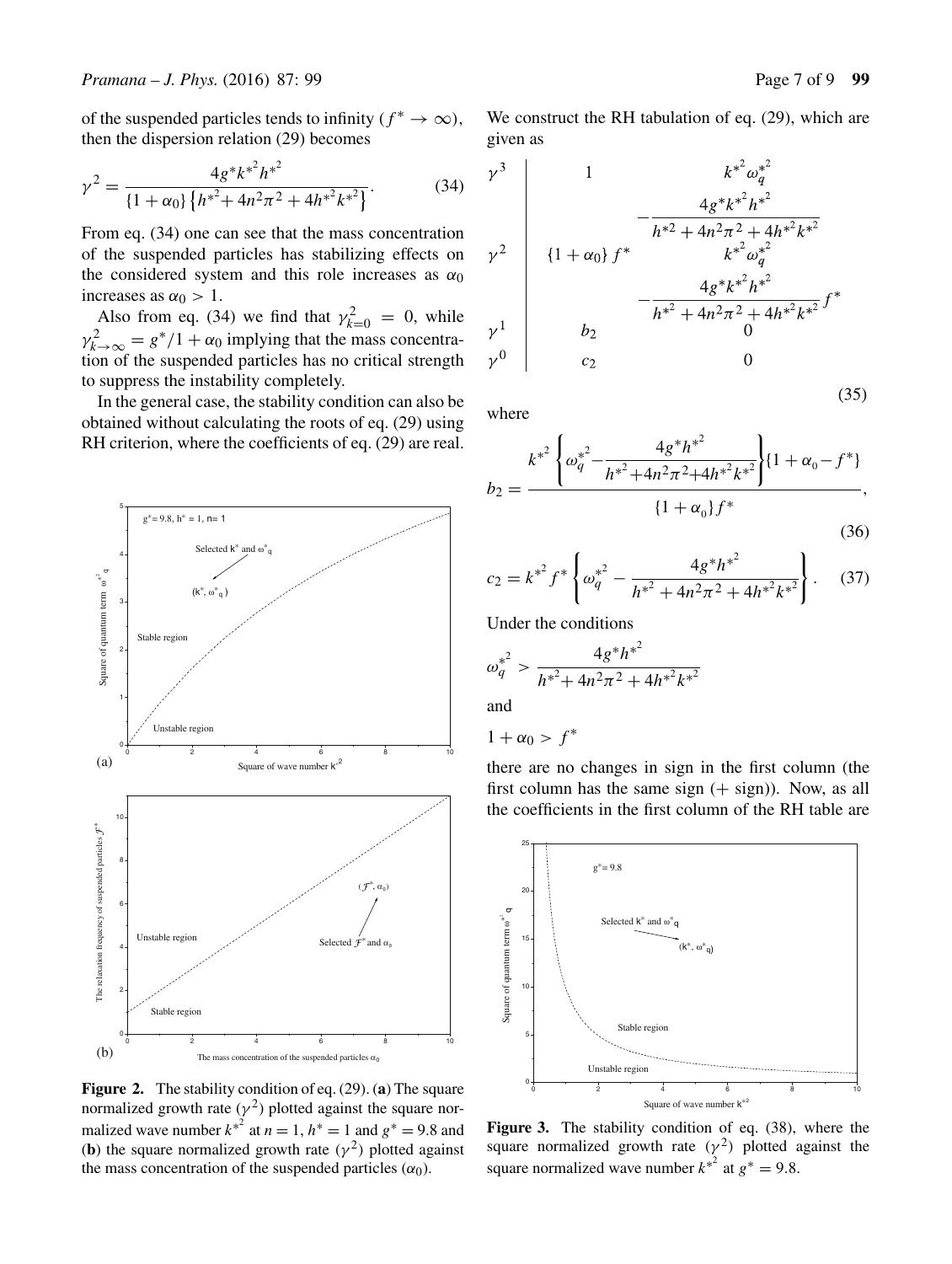of the suspended particles tends to infinity ( $f^* \to \infty$ ), then the dispersion relation (29) becomes

$$
\gamma^2 = \frac{4g^*k^{*^2}h^{*^2}}{\left\{1 + \alpha_0\right\}\left\{h^{*^2} + 4n^2\pi^2 + 4h^{*^2}k^{*^2}\right\}}.\tag{34}
$$

From eq. (34) one can see that the mass concentration of the suspended particles has stabilizing effects on the considered system and this role increases as  $\alpha_0$ increases as  $\alpha_0 > 1$ .

Also from eq. (34) we find that  $\gamma_{k=0}^2 = 0$ , while<br>  $\gamma_{k=0}^2 = e^*/1 + \alpha_0$  implying that the mass concentra- $\gamma_{k\to\infty}^2 = g^*/1 + \alpha_0$  implying that the mass concentration of the suspended particles has no critical strength to suppress the instability completely.

In the general case, the stability condition can also be obtained without calculating the roots of eq. (29) using RH criterion, where the coefficients of eq. (29) are real.



**Figure 2.** The stability condition of eq. (29). (**a**) The square normalized growth rate ( $\gamma^2$ ) plotted against the square normalized wave number  $k^{*2}$  at  $n = 1$ ,  $h^{*} = 1$  and  $g^{*} = 9.8$  and (b) the square normalized growth rate ( $y^{2}$ ) plotted against (**b**) the square normalized growth rate ( $\gamma^2$ ) plotted against the mass concentration of the suspended particles  $(\alpha_0)$ .

We construct the RH tabulation of eq. (29), which are given as

$$
\begin{array}{c|c}\n\gamma^3 & 1 & k^{*2} \omega_q^{*2} \\
\hline\n\gamma^2 & 1 + \omega_0 \int f^* & k^{*2} \omega_q^{*2} \\
\gamma^2 & 1 + \omega_0 \int f^* & k^{*2} \omega_q^{*2} \\
\gamma^1 & 1 + \omega_1 \int f^* & k^{*2} \omega_q^{*2} \\
\hline\n\gamma^0 & 0 & c_2\n\end{array}
$$

where

$$
b_2 = \frac{k^{*^2} \left\{ \omega_q^{*^2} - \frac{4g^* h^{*^2}}{h^{*^2} + 4n^2 \pi^2 + 4h^{*^2} k^{*^2}} \right\} \{1 + \alpha_0 - f^*\}}{\{1 + \alpha_0\} f^*},\tag{36}
$$

$$
c_2 = k^{*^2} f^* \left\{ \omega_q^{*^2} - \frac{4g^* h^{*^2}}{h^{*^2} + 4n^2 \pi^2 + 4h^{*^2} k^{*^2}} \right\}.
$$
 (37)

Under the conditions

$$
\omega_q^{*^2} > \frac{4g^*h^{*^2}}{h^{*^2} + 4n^2\pi^2 + 4h^{*^2}k^{*^2}}
$$

and

 $1 + \alpha_0 > f^*$ 

there are no changes in sign in the first column (the first column has the same sign  $(+$  sign)). Now, as all the coefficients in the first column of the RH table are



**Figure 3.** The stability condition of eq. (38), where the square normalized growth rate ( $\gamma^2$ ) plotted against the square normalized wave number  $k^{*^2}$  at  $g^* = 9.8$ .

 $(35)$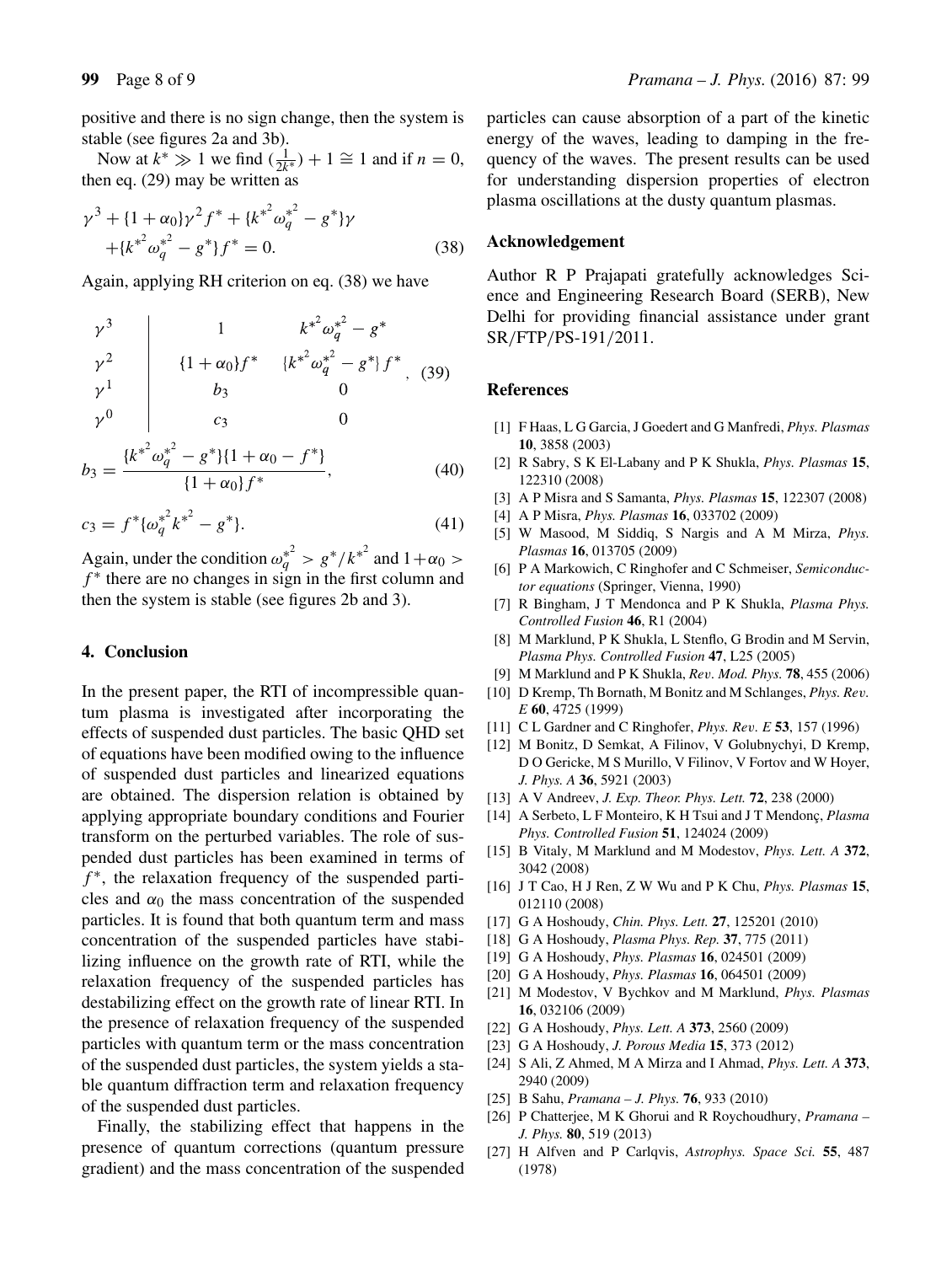positive and there is no sign change, then the system is stable (see figures 2a and 3b).

Now at  $k^* \gg 1$  we find  $(\frac{1}{2k^*}) + 1 \cong 1$  and if  $n = 0$ ,<br>en eq. (29) may be written as then eq. (29) may be written as

$$
\gamma^{3} + \{1 + \alpha_{0}\}\gamma^{2}f^{*} + \{k^{*^{2}}\omega_{q}^{*^{2}} - g^{*}\}\gamma + \{k^{*^{2}}\omega_{q}^{*^{2}} - g^{*}\}f^{*} = 0.
$$
\n(38)

Again, applying RH criterion on eq. (38) we have

$$
\begin{array}{c|c}\n\gamma^3 & 1 & k^{*2} \omega_q^{*2} - g^* \\
\gamma^2 & \left\{ 1 + \alpha_0 \right\} f^* & \left\{ k^{*2} \omega_q^{*2} - g^* \right\} f^* \\
\gamma^1 & b_3 & 0 \\
\gamma^0 & c_3 & 0 \\
\left\{ k^{*2} \omega_q^{*2} - g^* \right\} \left\{ 1 + \alpha_0 - f^* \right\}\n\end{array} \tag{39}
$$

$$
b_3 = \frac{\{k^{*^2}\omega_q^{*^2} - g^*\}\{1 + \alpha_0 - f^*\}}{\{1 + \alpha_0\}f^*},\tag{40}
$$

$$
c_3 = f^* {\{\omega_q^*}^2}{k^*}^2 - g^* \}. \tag{41}
$$

Again, under the condition  $\omega_q^2 > g^*/{k^*}^2$  and  $1+\alpha_0 > f^*$  there are no changes in sign in the first column and  $f^*$  there are no changes in sign in the first column and then the system is stable (see figures 2b and 3).

#### **4. Conclusion**

In the present paper, the RTI of incompressible quantum plasma is investigated after incorporating the effects of suspended dust particles. The basic QHD set of equations have been modified owing to the influence of suspended dust particles and linearized equations are obtained. The dispersion relation is obtained by applying appropriate boundary conditions and Fourier transform on the perturbed variables. The role of suspended dust particles has been examined in terms of  $f^*$ , the relaxation frequency of the suspended particles and  $\alpha_0$  the mass concentration of the suspended particles. It is found that both quantum term and mass concentration of the suspended particles have stabilizing influence on the growth rate of RTI, while the relaxation frequency of the suspended particles has destabilizing effect on the growth rate of linear RTI. In the presence of relaxation frequency of the suspended particles with quantum term or the mass concentration of the suspended dust particles, the system yields a stable quantum diffraction term and relaxation frequency of the suspended dust particles.

Finally, the stabilizing effect that happens in the presence of quantum corrections (quantum pressure gradient) and the mass concentration of the suspended particles can cause absorption of a part of the kinetic energy of the waves, leading to damping in the frequency of the waves. The present results can be used for understanding dispersion properties of electron plasma oscillations at the dusty quantum plasmas.

#### **Acknowledgement**

Author R P Prajapati gratefully acknowledges Science and Engineering Research Board (SERB), New Delhi for providing financial assistance under grant SR/FTP/PS-191/2011.

#### **References**

- [1] F Haas, L G Garcia, J Goedert and G Manfredi, *Phys. Plasmas* **10**, 3858 (2003)
- [2] R Sabry, S K El-Labany and P K Shukla, *Phys. Plasmas* **15**, 122310 (2008)
- [3] A P Misra and S Samanta, *Phys. Plasmas* **15**, 122307 (2008)
- [4] A P Misra, *Phys. Plasmas* **16**, 033702 (2009)
- [5] W Masood, M Siddiq, S Nargis and A M Mirza, *Phys. Plasmas* **16**, 013705 (2009)
- [6] P A Markowich, C Ringhofer and C Schmeiser, *Semiconductor equations* (Springer, Vienna, 1990)
- [7] R Bingham, J T Mendonca and P K Shukla, *Plasma Phys. Controlled Fusion* **46**, R1 (2004)
- [8] M Marklund, P K Shukla, L Stenflo, G Brodin and M Servin, *Plasma Phys. Controlled Fusion* **47**, L25 (2005)
- [9] M Marklund and P K Shukla, *Re*v*. Mod. Phys.* **<sup>78</sup>**, 455 (2006)
- [10] D Kremp, Th Bornath, M Bonitz and M Schlanges, *Phys. Re*v*. E* **60**, 4725 (1999)
- [11] C L Gardner and C Ringhofer, *Phys. Re*v*. E* **<sup>53</sup>**, 157 (1996)
- [12] M Bonitz, D Semkat, A Filinov, V Golubnychyi, D Kremp, D O Gericke, M S Murillo, V Filinov, V Fortov and W Hoyer, *J. Phys. A* **36**, 5921 (2003)
- [13] A V Andreev, *J. Exp. Theor. Phys. Lett.* **72**, 238 (2000)
- [14] A Serbeto, L F Monteiro, K H Tsui and J T Mendonç, *Plasma Phys. Controlled Fusion* **51**, 124024 (2009)
- [15] B Vitaly, M Marklund and M Modestov, *Phys. Lett. A* **372**, 3042 (2008)
- [16] J T Cao, H J Ren, Z W Wu and P K Chu, *Phys. Plasmas* **15**, 012110 (2008)
- [17] G A Hoshoudy, *Chin. Phys. Lett.* **27**, 125201 (2010)
- [18] G A Hoshoudy, *Plasma Phys. Rep.* **37**, 775 (2011)
- [19] G A Hoshoudy, *Phys. Plasmas* **16**, 024501 (2009)
- [20] G A Hoshoudy, *Phys. Plasmas* **16**, 064501 (2009)
- [21] M Modestov, V Bychkov and M Marklund, *Phys. Plasmas* **16**, 032106 (2009)
- [22] G A Hoshoudy, *Phys. Lett. A* **373**, 2560 (2009)
- [23] G A Hoshoudy, *J. Porous Media* **15**, 373 (2012)
- [24] S Ali, Z Ahmed, M A Mirza and I Ahmad, *Phys. Lett. A* **373**, 2940 (2009)
- [25] B Sahu, *Pramana J. Phys.* **76**, 933 (2010)
- [26] P Chatterjee, M K Ghorui and R Roychoudhury, *Pramana – J. Phys.* **80**, 519 (2013)
- [27] H Alfven and P Carlqvis, *Astrophys. Space Sci.* **55**, 487 (1978)